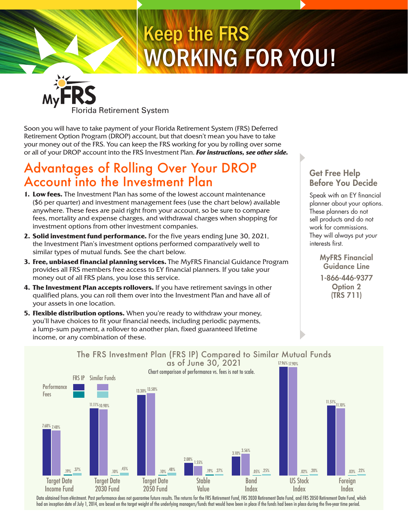# WORKING FOR YOU! Keep the FRS

Florida Retirement System

Soon you will have to take payment of your Florida Retirement System (FRS) Deferred Retirement Option Program (DROP) account, but that doesn't mean you have to take your money out of the FRS. You can keep the FRS working for you by rolling over some or all of your DROP account into the FRS Investment Plan. *For instructions, see other side.*

## Advantages of Rolling Over Your DROP Account into the Investment Plan

- **1. Low fees.** The Investment Plan has some of the lowest account maintenance (\$6 per quarter) and investment management fees (use the chart below) available anywhere. These fees are paid right from your account, so be sure to compare fees, mortality and expense charges, and withdrawal charges when shopping for investment options from other investment companies.
- **2. Solid investment fund performance.** For the five years ending June 30, 2021, the Investment Plan's investment options performed comparatively well to similar types of mutual funds. See the chart below.
- **3. Free, unbiased financial planning services.** The MyFRS Financial Guidance Program provides all FRS members free access to EY financial planners. If you take your money out of all FRS plans, you lose this service.
- **4. The Investment Plan accepts rollovers.** If you have retirement savings in other qualified plans, you can roll them over into the Investment Plan and have all of your assets in one location.
- **5. Flexible distribution options.** When you're ready to withdraw your money, you'll have choices to fit your financial needs, including periodic payments, a lump-sum payment, a rollover to another plan, fixed guaranteed lifetime income, or any combination of these.

#### Get Free Help Before You Decide

Speak with an EY financial planner about your options. These planners do not sell products and do not work for commissions. They will always put your interests first.

> MyFRS Financial Guidance Line 1-866-446-9377 Option 2 (TRS 711)



Data obtained from eVestment. Past performance does not guarantee future results. The returns for the FRS Retirement Fund, FRS 2030 Retirement Date Fund, and FRS 2050 Retirement Date Fund, and FRS 2050 Retirement Date Fund had an inception date of July 1, 2014, are based on the target weight of the underlying managers/funds that would have been in place if the funds had been in place during the five-year time period.